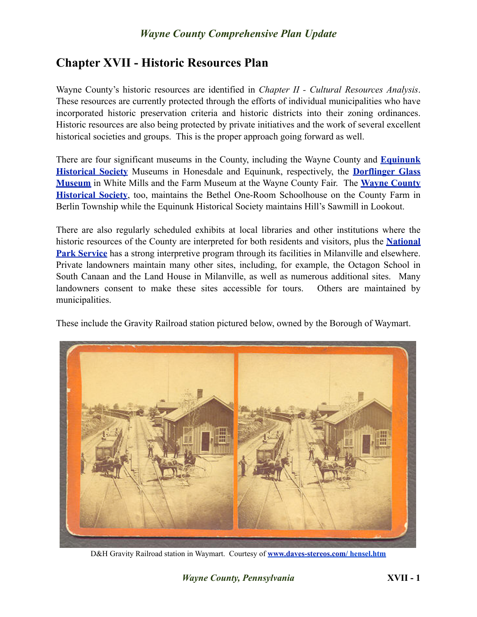## *Wayne County Comprehensive Plan Update*

## **Chapter XVII - Historic Resources Plan**

Wayne County's historic resources are identified in *Chapter II - Cultural Resources Analysis*. These resources are currently protected through the efforts of individual municipalities who have incorporated historic preservation criteria and historic districts into their zoning ordinances. Historic resources are also being protected by private initiatives and the work of several excellent historical societies and groups. This is the proper approach going forward as well.

There are four significant museums in the County, including the Wayne County and **[Equinunk](http://www.rootsweb.ancestry.com/~paehs/) [Historical Society](http://www.rootsweb.ancestry.com/~paehs/)** Museums in Honesdale and Equinunk, respectively, the **[Dorflinger Glass](http://www.dorflinger.org/)  [Museum](http://www.dorflinger.org/)** in White Mills and the Farm Museum at the Wayne County Fair. The **[Wayne County](http://www.waynehistorypa.org/) [Historical Society](http://www.waynehistorypa.org/)**, too, maintains the Bethel One-Room Schoolhouse on the County Farm in Berlin Township while the Equinunk Historical Society maintains Hill's Sawmill in Lookout.

There are also regularly scheduled exhibits at local libraries and other institutions where the historic resources of the County are interpreted for both residents and visitors, plus the **[National](http://www.nps.gov/upde/index.htm)  [Park Service](http://www.nps.gov/upde/index.htm)** has a strong interpretive program through its facilities in Milanville and elsewhere. Private landowners maintain many other sites, including, for example, the Octagon School in South Canaan and the Land House in Milanville, as well as numerous additional sites. Many landowners consent to make these sites accessible for tours. Others are maintained by municipalities.

These include the Gravity Railroad station pictured below, owned by the Borough of Waymart.



D&H Gravity Railroad station in Waymart. Courtesy of **[www.daves-stereos.com/](http://www.daves-stereos.com) hensel.htm**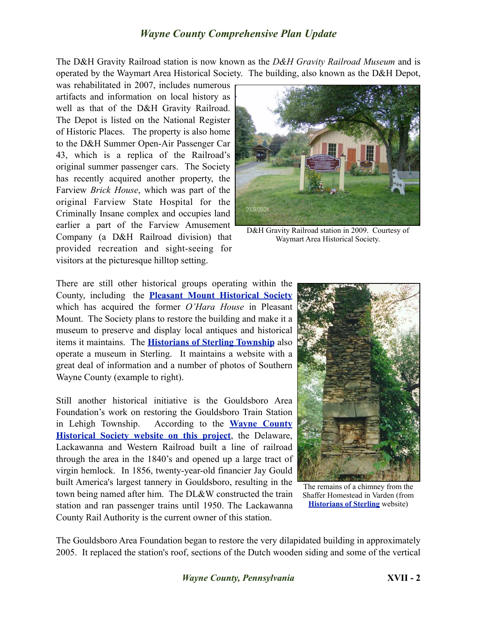## *Wayne County Comprehensive Plan Update*

The D&H Gravity Railroad station is now known as the *D&H Gravity Railroad Museum* and is operated by the Waymart Area Historical Society. The building, also known as the D&H Depot,

was rehabilitated in 2007, includes numerous artifacts and information on local history as well as that of the D&H Gravity Railroad. The Depot is listed on the National Register of Historic Places. The property is also home to the D&H Summer Open-Air Passenger Car 43, which is a replica of the Railroad's original summer passenger cars. The Society has recently acquired another property, the Farview *Brick House*, which was part of the original Farview State Hospital for the Criminally Insane complex and occupies land earlier a part of the Farview Amusement Company (a D&H Railroad division) that provided recreation and sight-seeing for visitors at the picturesque hilltop setting.



D&H Gravity Railroad station in 2009. Courtesy of Waymart Area Historical Society.

There are still other historical groups operating within the County, including the **[Pleasant Mount Historical Society](http://members.tripod.com/pm_history/)** which has acquired the former *O'Hara House* in Pleasant Mount. The Society plans to restore the building and make it a museum to preserve and display local antiques and historical items it maintains. The **[Historians of Sterling Township](http://www.historiansofsterlingtownship.org/)** also operate a museum in Sterling. It maintains a website with a great deal of information and a number of photos of Southern Wayne County (example to right).

Still another historical initiative is the Gouldsboro Area Foundation's work on restoring the Gouldsboro Train Station in Lehigh Township. According to the **[Wayne County](http://www.waynehistorypa.org/plid/153)  [Historical Society website on this project](http://www.waynehistorypa.org/plid/153)**, the Delaware, Lackawanna and Western Railroad built a line of railroad through the area in the 1840's and opened up a large tract of virgin hemlock. In 1856, twenty-year-old financier Jay Gould built America's largest tannery in Gouldsboro, resulting in the town being named after him. The DL&W constructed the train station and ran passenger trains until 1950. The Lackawanna County Rail Authority is the current owner of this station.



The remains of a chimney from the Shaffer Homestead in Varden (from **[Historians of Sterling](http://www.historiansofsterlingtownship.org)** website)

The Gouldsboro Area Foundation began to restore the very dilapidated building in approximately 2005. It replaced the station's roof, sections of the Dutch wooden siding and some of the vertical